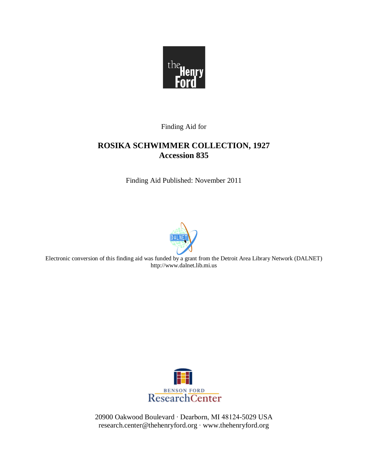

Finding Aid for

# **ROSIKA SCHWIMMER COLLECTION, 1927 Accession 835**

Finding Aid Published: November 2011



Electronic conversion of this finding aid was funded by a grant from the Detroit Area Library Network (DALNET) http://www.dalnet.lib.mi.us



20900 Oakwood Boulevard ∙ Dearborn, MI 48124-5029 USA research.center@thehenryford.org ∙ www.thehenryford.org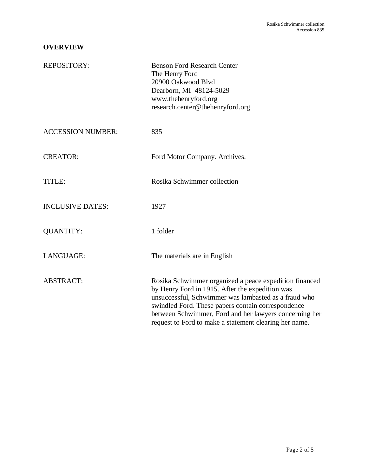### **OVERVIEW**

| REPOSITORY:              | <b>Benson Ford Research Center</b><br>The Henry Ford<br>20900 Oakwood Blvd<br>Dearborn, MI 48124-5029<br>www.thehenryford.org<br>research.center@thehenryford.org                                                                                                                                                                           |
|--------------------------|---------------------------------------------------------------------------------------------------------------------------------------------------------------------------------------------------------------------------------------------------------------------------------------------------------------------------------------------|
| <b>ACCESSION NUMBER:</b> | 835                                                                                                                                                                                                                                                                                                                                         |
| <b>CREATOR:</b>          | Ford Motor Company. Archives.                                                                                                                                                                                                                                                                                                               |
| TITLE:                   | Rosika Schwimmer collection                                                                                                                                                                                                                                                                                                                 |
| <b>INCLUSIVE DATES:</b>  | 1927                                                                                                                                                                                                                                                                                                                                        |
| <b>QUANTITY:</b>         | 1 folder                                                                                                                                                                                                                                                                                                                                    |
| LANGUAGE:                | The materials are in English                                                                                                                                                                                                                                                                                                                |
| <b>ABSTRACT:</b>         | Rosika Schwimmer organized a peace expedition financed<br>by Henry Ford in 1915. After the expedition was<br>unsuccessful, Schwimmer was lambasted as a fraud who<br>swindled Ford. These papers contain correspondence<br>between Schwimmer, Ford and her lawyers concerning her<br>request to Ford to make a statement clearing her name. |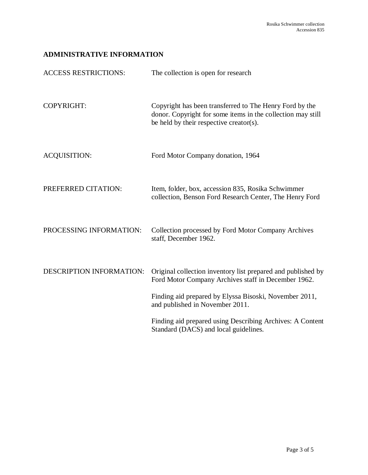# **ADMINISTRATIVE INFORMATION**

| <b>ACCESS RESTRICTIONS:</b> | The collection is open for research                                                                                                                               |
|-----------------------------|-------------------------------------------------------------------------------------------------------------------------------------------------------------------|
| <b>COPYRIGHT:</b>           | Copyright has been transferred to The Henry Ford by the<br>donor. Copyright for some items in the collection may still<br>be held by their respective creator(s). |
| <b>ACQUISITION:</b>         | Ford Motor Company donation, 1964                                                                                                                                 |
| PREFERRED CITATION:         | Item, folder, box, accession 835, Rosika Schwimmer<br>collection, Benson Ford Research Center, The Henry Ford                                                     |
| PROCESSING INFORMATION:     | Collection processed by Ford Motor Company Archives<br>staff, December 1962.                                                                                      |
| DESCRIPTION INFORMATION:    | Original collection inventory list prepared and published by<br>Ford Motor Company Archives staff in December 1962.                                               |
|                             | Finding aid prepared by Elyssa Bisoski, November 2011,<br>and published in November 2011.                                                                         |
|                             | Finding aid prepared using Describing Archives: A Content<br>Standard (DACS) and local guidelines.                                                                |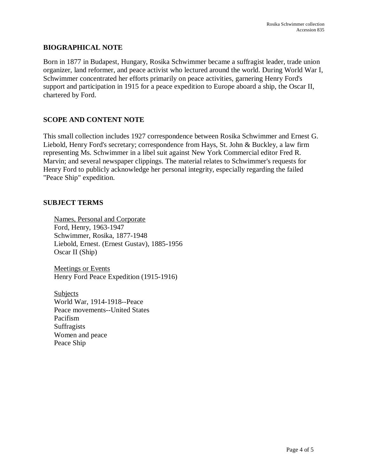#### **BIOGRAPHICAL NOTE**

Born in 1877 in Budapest, Hungary, Rosika Schwimmer became a suffragist leader, trade union organizer, land reformer, and peace activist who lectured around the world. During World War I, Schwimmer concentrated her efforts primarily on peace activities, garnering Henry Ford's support and participation in 1915 for a peace expedition to Europe aboard a ship, the Oscar II, chartered by Ford.

### **SCOPE AND CONTENT NOTE**

This small collection includes 1927 correspondence between Rosika Schwimmer and Ernest G. Liebold, Henry Ford's secretary; correspondence from Hays, St. John & Buckley, a law firm representing Ms. Schwimmer in a libel suit against New York Commercial editor Fred R. Marvin; and several newspaper clippings. The material relates to Schwimmer's requests for Henry Ford to publicly acknowledge her personal integrity, especially regarding the failed "Peace Ship" expedition.

#### **SUBJECT TERMS**

Names, Personal and Corporate Ford, Henry, 1963-1947 Schwimmer, Rosika, 1877-1948 Liebold, Ernest. (Ernest Gustav), 1885-1956 Oscar II (Ship)

Meetings or Events Henry Ford Peace Expedition (1915-1916)

**Subjects** World War, 1914-1918--Peace Peace movements--United States Pacifism **Suffragists** Women and peace Peace Ship